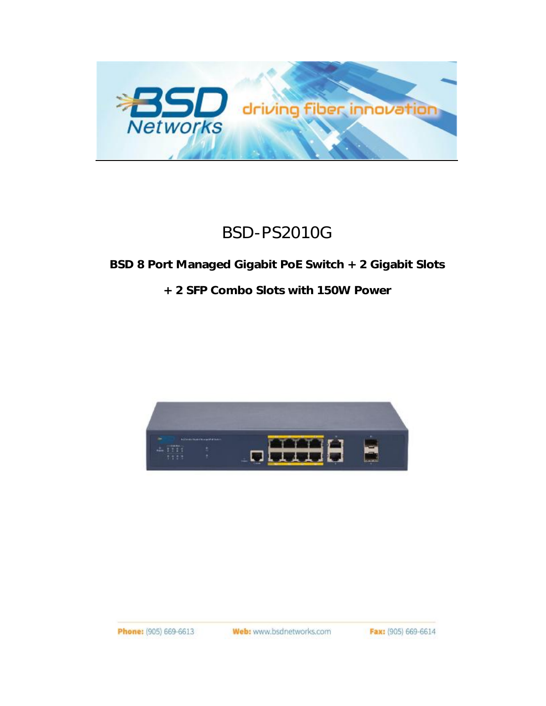

# BSD-PS2010G

**BSD 8 Port Managed Gigabit PoE Switch + 2 Gigabit Slots** 

**+ 2 SFP Combo Slots with 150W Power**



Web: www.bsdnetworks.com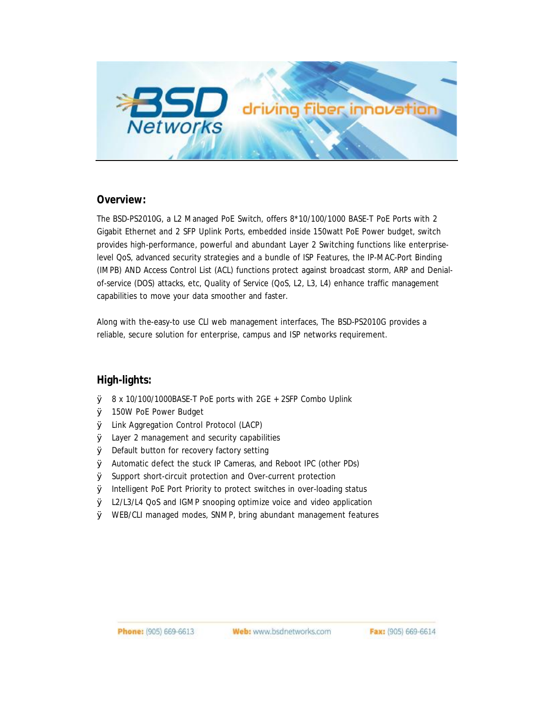

#### **Overview:**

The BSD-PS2010G, a L2 Managed PoE Switch, offers 8\*10/100/1000 BASE-T PoE Ports with 2 Gigabit Ethernet and 2 SFP Uplink Ports, embedded inside 150watt PoE Power budget, switch provides high-performance, powerful and abundant Layer 2 Switching functions like enterpriselevel QoS, advanced security strategies and a bundle of ISP Features, the IP-MAC-Port Binding (IMPB) AND Access Control List (ACL) functions protect against broadcast storm, ARP and Denialof-service (DOS) attacks, etc, Quality of Service (QoS, L2, L3, L4) enhance traffic management capabilities to move your data smoother and faster.

Along with the-easy-to use CLl web management interfaces, The BSD-PS2010G provides a reliable, secure solution for enterprise, campus and ISP networks requirement.

#### **High-lights:**

- Ø 8 x 10/100/1000BASE-T PoE ports with 2GE + 2SFP Combo Uplink
- Ø 150W PoE Power Budget
- Ø Link Aggregation Control Protocol (LACP)
- Ø Layer 2 management and security capabilities
- Ø Default button for recovery factory setting
- Ø Automatic defect the stuck IP Cameras, and Reboot IPC (other PDs)
- Ø Support short-circuit protection and Over-current protection
- Ø Intelligent PoE Port Priority to protect switches in over-loading status
- Ø L2/L3/L4 QoS and IGMP snooping optimize voice and video application
- Ø WEB/CLI managed modes, SNMP, bring abundant management features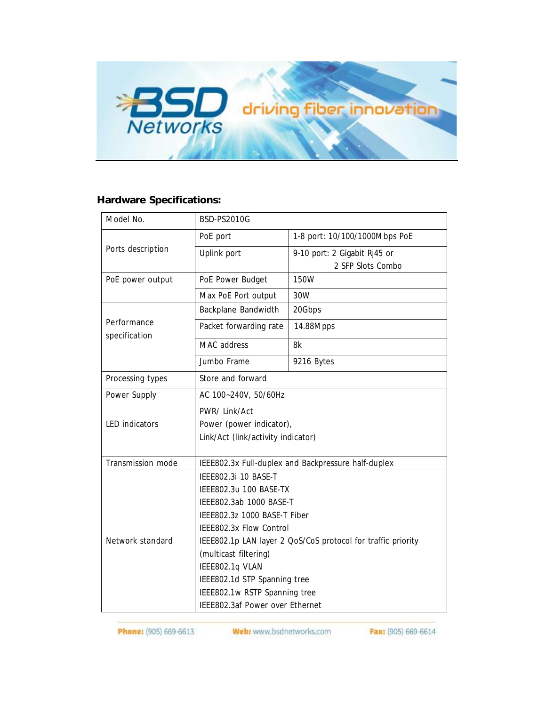

### **Hardware Specifications:**

| Model No.                    | <b>BSD-PS2010G</b>                                           |                               |
|------------------------------|--------------------------------------------------------------|-------------------------------|
| Ports description            | PoE port                                                     | 1-8 port: 10/100/1000Mbps PoE |
|                              | Uplink port                                                  | 9-10 port: 2 Gigabit Rj45 or  |
|                              |                                                              | 2 SFP Slots Combo             |
| PoE power output             | PoE Power Budget                                             | 150W                          |
|                              | Max PoE Port output                                          | 30W                           |
| Performance<br>specification | <b>Backplane Bandwidth</b>                                   | 20Gbps                        |
|                              | Packet forwarding rate                                       | 14.88Mpps                     |
|                              | <b>MAC</b> address                                           | 8k                            |
|                              | Jumbo Frame                                                  | 9216 Bytes                    |
| Processing types             | Store and forward                                            |                               |
| Power Supply                 | AC 100~240V, 50/60Hz                                         |                               |
| <b>LED</b> indicators        | PWR/ Link/Act                                                |                               |
|                              | Power (power indicator),                                     |                               |
|                              | Link/Act (link/activity indicator)                           |                               |
| Transmission mode            | IEEE802.3x Full-duplex and Backpressure half-duplex          |                               |
| Network standard             | IEEE802.3i 10 BASE-T                                         |                               |
|                              | IEEE802.3u 100 BASE-TX                                       |                               |
|                              | IEEE802.3ab 1000 BASE-T                                      |                               |
|                              | IEEE802.3z 1000 BASE-T Fiber                                 |                               |
|                              | IEEE802.3x Flow Control                                      |                               |
|                              | IEEE802.1p LAN layer 2 QoS/CoS protocol for traffic priority |                               |
|                              | (multicast filtering)                                        |                               |
|                              | IEEE802.1q VLAN                                              |                               |
|                              | IEEE802.1d STP Spanning tree                                 |                               |
|                              | IEEE802.1w RSTP Spanning tree                                |                               |
|                              | <b>IEEE802.3af Power over Ethernet</b>                       |                               |

$$
Fax: (905) 669-6614
$$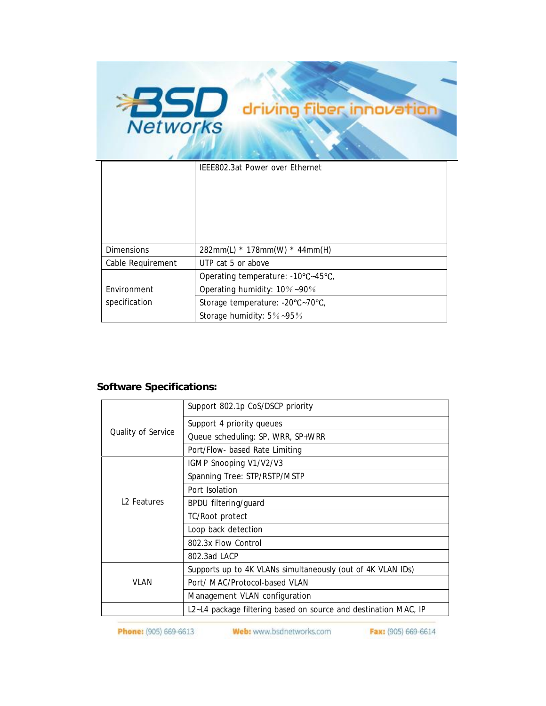

| <b>Dimensions</b> | 282mm(L) * 178mm(W) * 44mm(H)      |  |
|-------------------|------------------------------------|--|
| Cable Requirement | UTP cat 5 or above                 |  |
|                   | Operating temperature: -10°C~45°C, |  |
| Environment       | Operating humidity: 10%~90%        |  |
| specification     | Storage temperature: -20°C~70°C,   |  |
|                   | Storage humidity: $5\%$ ~95%       |  |

## **Software Specifications:**

| Quality of Service      | Support 802.1p CoS/DSCP priority                                |  |
|-------------------------|-----------------------------------------------------------------|--|
|                         | Support 4 priority queues                                       |  |
|                         | Queue scheduling: SP, WRR, SP+WRR                               |  |
|                         | Port/Flow- based Rate Limiting                                  |  |
| L <sub>2</sub> Features | IGMP Snooping V1/V2/V3                                          |  |
|                         | Spanning Tree: STP/RSTP/MSTP                                    |  |
|                         | Port Isolation                                                  |  |
|                         | <b>BPDU filtering/guard</b>                                     |  |
|                         | TC/Root protect                                                 |  |
|                         | Loop back detection                                             |  |
|                         | 802.3x Flow Control                                             |  |
|                         | 802.3ad LACP                                                    |  |
| VI AN                   | Supports up to 4K VLANs simultaneously (out of 4K VLAN IDs)     |  |
|                         | Port/ MAC/Protocol-based VLAN                                   |  |
|                         | Management VLAN configuration                                   |  |
|                         | L2~L4 package filtering based on source and destination MAC, IP |  |

Phone: (905) 669-6613

Web: www.bsdnetworks.com